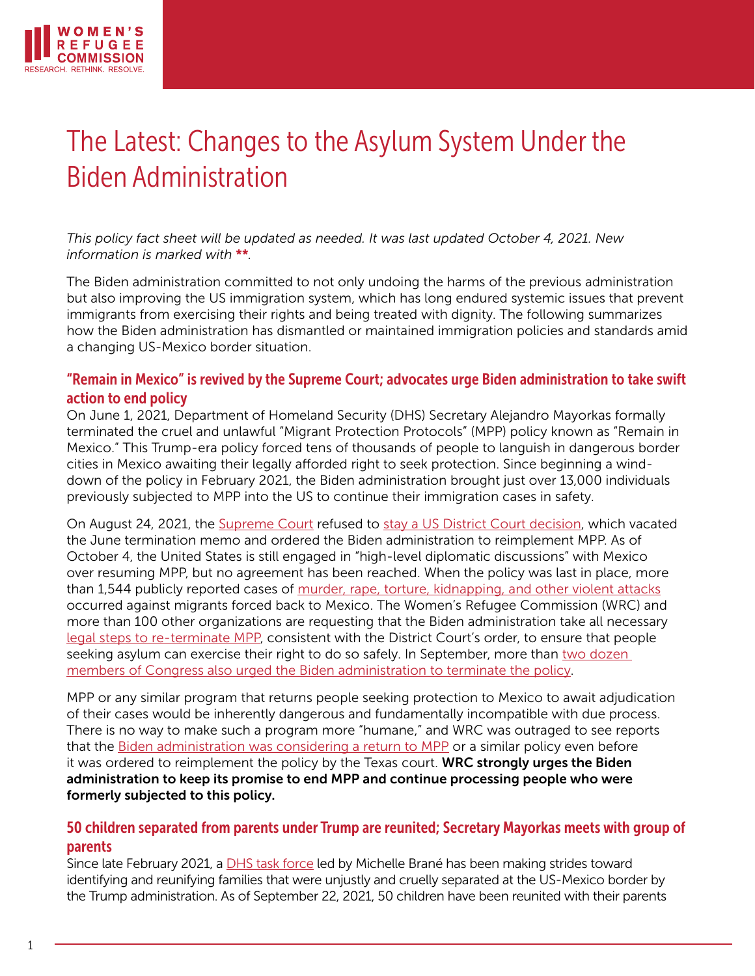

# The Latest: Changes to the Asylum System Under the Biden Administration

*This policy fact sheet will be updated as needed. It was last updated October 4, 2021. New information is marked with* \*\**.* 

The Biden administration committed to not only undoing the harms of the previous administration but also improving the US immigration system, which has long endured systemic issues that prevent immigrants from exercising their rights and being treated with dignity. The following summarizes how the Biden administration has dismantled or maintained immigration policies and standards amid a changing US-Mexico border situation.

## "Remain in Mexico" is revived by the Supreme Court; advocates urge Biden administration to take swift action to end policy

On June 1, 2021, Department of Homeland Security (DHS) Secretary Alejandro Mayorkas formally terminated the cruel and unlawful "Migrant Protection Protocols" (MPP) policy known as "Remain in Mexico." This Trump-era policy forced tens of thousands of people to languish in dangerous border cities in Mexico awaiting their legally afforded right to seek protection. Since beginning a winddown of the policy in February 2021, the Biden administration brought just over 13,000 individuals previously subjected to MPP into the US to continue their immigration cases in safety.

On August 24, 2021, the [Supreme Court](https://www.supremecourt.gov/orders/courtorders/082421zr_2d9g.pdf) refused to [stay a US District Court decision](https://ago.mo.gov/docs/default-source/press-releases/mpp.pdf?sfvrsn=f2722fb5_2), which vacated the June termination memo and ordered the Biden administration to reimplement MPP. As of October 4, the United States is still engaged in "high-level diplomatic discussions" with Mexico over resuming MPP, but no agreement has been reached. When the policy was last in place, more than 1,544 publicly reported cases of [murder, rape, torture, kidnapping, and other violent attacks](https://deliveredtodanger.org/) occurred against migrants forced back to Mexico. The Women's Refugee Commission (WRC) and more than 100 other organizations are requesting that the Biden administration take all necessary [legal steps to re-terminate MPP](https://nam12.safelinks.protection.outlook.com/?url=https%3A%2F%2Fwww.womensrefugeecommission.org%2Fresearch-resources%2Furgent-actions-the-biden-administration-must-take-following-supreme-court-decision-on-migrant-protection-protocols-mpp%2F&data=04%7C01%7C%7Cd3341ddf856b4b6ad06908d96c8dd7c0%7Ca11de13374864b67a0480a11db0ab49f%7C0%7C0%7C637660178734051360%7CUnknown%7CTWFpbGZsb3d8eyJWIjoiMC4wLjAwMDAiLCJQIjoiV2luMzIiLCJBTiI6Ik1haWwiLCJXVCI6Mn0%3D%7C1000&sdata=vqW%2Bc0TGAL%2BJ8RQDzNWjaoDoldFYK2y6D9fugECydVs%3D&reserved=0), consistent with the District Court's order, to ensure that people seeking asylum can exercise their right to do so safely. In September, more than two dozen [members of Congress also urged the Biden administration to terminate the policy.](https://escobar.house.gov/news/documentsingle.aspx?DocumentID=759)

MPP or any similar program that returns people seeking protection to Mexico to await adjudication of their cases would be inherently dangerous and fundamentally incompatible with due process. There is no way to make such a program more "humane," and WRC was outraged to see reports that the [Biden administration was considering a return to MPP](https://www.womensrefugeecommission.org/press-releases/womens-refugee-commission-urges-biden-administration-to-vehemently-oppose-any-reinstatement-of-remain-in-mexico-policy/) or a similar policy even before it was ordered to reimplement the policy by the Texas court. **WRC strongly urges the Biden** administration to keep its promise to end MPP and continue processing people who were formerly subjected to this policy.

### 50 children separated from parents under Trump are reunited; Secretary Mayorkas meets with group of parents

Since late February 2021, a [DHS task force](https://www.dhs.gov/family-reunification-task-force) led by Michelle Brané has been making strides toward identifying and reunifying families that were unjustly and cruelly separated at the US-Mexico border by the Trump administration. As of September 22, 2021, 50 children have been reunited with their parents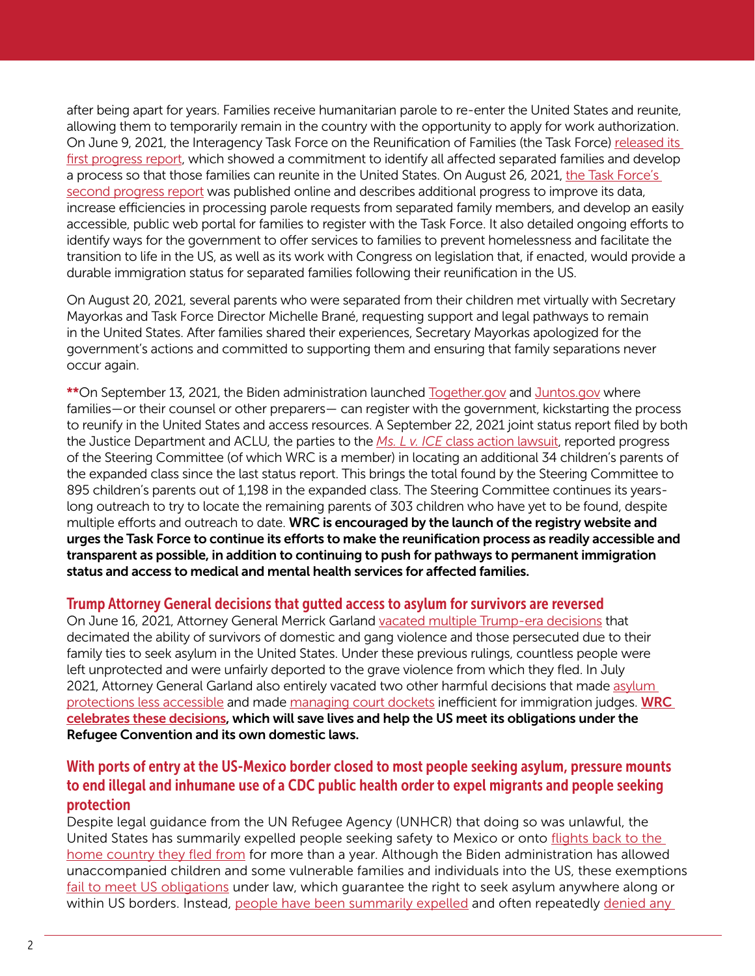after being apart for years. Families receive humanitarian parole to re-enter the United States and reunite, allowing them to temporarily remain in the country with the opportunity to apply for work authorization. On June 9, 2021, the Interagency Task Force on the Reunification of Families (the Task Force) [released its](https://www.dhs.gov/sites/default/files/publications/21_0602_s1_family-reunification-task-force-120-day-progress-report.pdf)  [first progress report,](https://www.dhs.gov/sites/default/files/publications/21_0602_s1_family-reunification-task-force-120-day-progress-report.pdf) which showed a commitment to identify all affected separated families and develop a process so that those families can reunite in the United States. On August 26, 2021, the Task Force's [second progress report](https://www.dhs.gov/sites/default/files/publications/21_0826_s1_interim-progress-report-family-reunification-task-force.pdf) was published online and describes additional progress to improve its data, increase efficiencies in processing parole requests from separated family members, and develop an easily accessible, public web portal for families to register with the Task Force. It also detailed ongoing efforts to identify ways for the government to offer services to families to prevent homelessness and facilitate the transition to life in the US, as well as its work with Congress on legislation that, if enacted, would provide a durable immigration status for separated families following their reunification in the US.

On August 20, 2021, several parents who were separated from their children met virtually with Secretary Mayorkas and Task Force Director Michelle Brané, requesting support and legal pathways to remain in the United States. After families shared their experiences, Secretary Mayorkas apologized for the government's actions and committed to supporting them and ensuring that family separations never occur again.

\*\*On September 13, 2021, the Biden administration launched [Together.gov](https://www.together.gov/) and [Juntos.gov](https://www.juntos.gov/es) where families—or their counsel or other preparers— can register with the government, kickstarting the process to reunify in the United States and access resources. A September 22, 2021 joint status report filed by both the Justice Department and ACLU, the parties to the *Ms. L v. ICE* [class action lawsuit,](https://www.aclu.org/cases/ms-l-v-ice) reported progress of the Steering Committee (of which WRC is a member) in locating an additional 34 children's parents of the expanded class since the last status report. This brings the total found by the Steering Committee to 895 children's parents out of 1,198 in the expanded class. The Steering Committee continues its yearslong outreach to try to locate the remaining parents of 303 children who have yet to be found, despite multiple efforts and outreach to date. WRC is encouraged by the launch of the registry website and urges the Task Force to continue its efforts to make the reunification process as readily accessible and transparent as possible, in addition to continuing to push for pathways to permanent immigration status and access to medical and mental health services for affected families.

#### Trump Attorney General decisions that gutted access to asylum for survivors are reversed

On June 16, 2021, Attorney General Merrick Garland [vacated multiple Trump-era decisions](https://www.justice.gov/asg/page/file/1404826/download) that decimated the ability of survivors of domestic and gang violence and those persecuted due to their family ties to seek asylum in the United States. Under these previous rulings, countless people were left unprotected and were unfairly deported to the grave violence from which they fled. In July 2021, Attorney General Garland also entirely vacated two other harmful decisions that made [asylum](https://www.justice.gov/eoir/page/file/1415401/download)  [protections less accessible](https://www.justice.gov/eoir/page/file/1415401/download) and made [managing court dockets](https://www.justice.gov/eoir/page/file/1412451/download) inefficient for immigration judges. [WRC](https://welcomewithdignity.org/2021/06/16/attorney-general-garlands-decision-on-matter-of-a-b-and-l-e-a-will-save-lives/)  [celebrates these decisions](https://welcomewithdignity.org/2021/06/16/attorney-general-garlands-decision-on-matter-of-a-b-and-l-e-a-will-save-lives/), which will save lives and help the US meet its obligations under the Refugee Convention and its own domestic laws.

## With ports of entry at the US-Mexico border closed to most people seeking asylum, pressure mounts to end illegal and inhumane use of a CDC public health order to expel migrants and people seeking protection

Despite legal guidance from the UN Refugee Agency (UNHCR) that doing so was unlawful, the United States has summarily expelled people seeking safety to Mexico or onto [flights back to the](https://www.theguardian.com/us-news/2021/mar/25/haiti-deportations-soar-as-biden-administration-deploys-trump-era-health-order)  [home country they fled from](https://www.theguardian.com/us-news/2021/mar/25/haiti-deportations-soar-as-biden-administration-deploys-trump-era-health-order) for more than a year. Although the Biden administration has allowed unaccompanied children and some vulnerable families and individuals into the US, these exemptions [fail to meet US obligations](https://www.unhcr.org/en-us/news/press/2021/5/60a687764/statement-attributable-un-high-commissioner-refugees-filippo-grandi-need.html) under law, which guarantee the right to seek asylum anywhere along or within US borders. Instead, [people have been summarily expelled](https://www.cbp.gov/newsroom/stats/cbp-enforcement-statistics/title-8-and-title-42-statistics) and often repeatedly denied any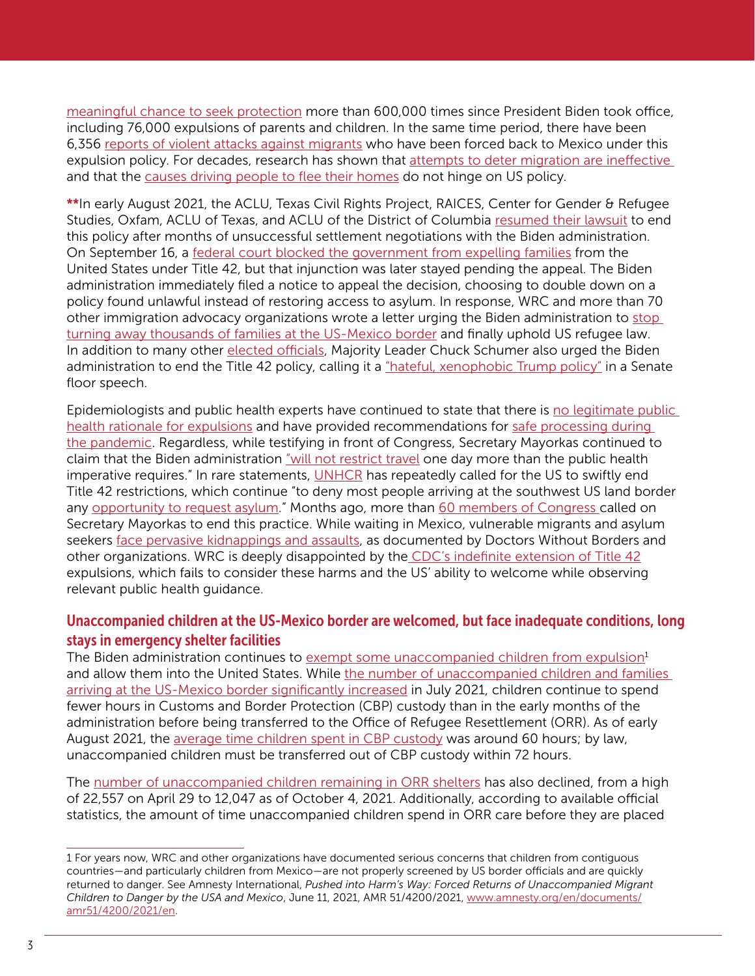[meaningful chance to seek protection](https://www.cbp.gov/newsroom/stats/southwest-land-border-encounters) more than 600,000 times since President Biden took office, including 76,000 expulsions of parents and children. In the same time period, there have been 6,356 [reports of violent attacks against migrants](https://www.humanrightsfirst.org/sites/default/files/HumanRightsTravesty_FINAL.pdf) who have been forced back to Mexico under this expulsion policy. For decades, research has shown that attempts to deter migration are ineffective and that the [causes driving people to flee their homes](https://fas.org/sgp/crs/row/IF11151.pdf) do not hinge on US policy.

\*\*In early August 2021, the ACLU, Texas Civil Rights Project, RAICES, Center for Gender & Refugee Studies, Oxfam, ACLU of Texas, and ACLU of the District of Columbia [resumed their lawsuit](https://www.politico.com/news/2021/08/02/biden-administration-sued-aclu-migrant-expulsions-502140) to end this policy after months of unsuccessful settlement negotiations with the Biden administration. On September 16, a [federal court blocked the government from expelling families](https://www.aclu.org/legal-document/order-huisha-huisha-v-mayorkas) from the United States under Title 42, but that injunction was later stayed pending the appeal. The Biden administration immediately filed a notice to appeal the decision, choosing to double down on a policy found unlawful instead of restoring access to asylum. In response, WRC and more than 70 other immigration advocacy organizations wrote a letter urging the Biden administration to [stop](https://www.humanrightsfirst.org/sites/default/files/Joint Letter to President Biden%2C Secretary Mayorkas%2C Attorney General Garland on Title 42_09172021.pdf)  [turning away thousands of families at the US-Mexico border](https://www.humanrightsfirst.org/sites/default/files/Joint Letter to President Biden%2C Secretary Mayorkas%2C Attorney General Garland on Title 42_09172021.pdf) and finally uphold US refugee law. In addition to many other [elected officials,](https://twitter.com/JacksonLeeTX18/status/1442232811415552000?s=20) Majority Leader Chuck Schumer also urged the Biden administration to end the Title 42 policy, calling it a ["hateful, xenophobic Trump policy"](https://theworldnews.net/ht-news/white-house-faces-bipartisan-backlash-on-haitian-migrants) in a Senate floor speech.

Epidemiologists and public health experts have continued to state that [there is no legitimate public](https://phr.org/our-work/resources/title-42-border-expulsions-how-biden-and-the-cdcs-misuse-of-public-health-authority-expels-asylum-seekers-to-danger/)  [health rationale for expulsions](https://phr.org/our-work/resources/title-42-border-expulsions-how-biden-and-the-cdcs-misuse-of-public-health-authority-expels-asylum-seekers-to-danger/) and have provided recommendations for safe processing during [the pandemic](https://www.publichealth.columbia.edu/public-health-now/news/public-health-experts-issue-recommendations-protect-public-health-and-lives-asylum-seekers). Regardless, while testifying in front of Congress, Secretary Mayorkas continued to claim that [the Biden administration "will not restrict travel one day more than the public health](https://thehill.com/policy/national-security/555551-mayorkas-defends-trump-era-covid-policy-immigration-enforcement?rl=1)  [imperative requires."](https://thehill.com/policy/national-security/555551-mayorkas-defends-trump-era-covid-policy-immigration-enforcement?rl=1) In rare statements, [UNHCR has repeatedly called for the US to swiftly end](https://www.unhcr.org/news/press/2021/5/60a687764/statement-attributable-un-high-commissioner-refugees-filippo-grandi-need.html)  [Title 42 restrictions,](https://www.unhcr.org/news/press/2021/5/60a687764/statement-attributable-un-high-commissioner-refugees-filippo-grandi-need.html) which continue "to deny most people arriving at the southwest US land border any [opportunity to request asylum.](https://www.unhcr.org/en-us/news/press/2021/9/614a27324/news-comment-un-high-commissioner-refugees-filippo-grandi-conditions-expulsions.html)" Months ago, more than 60 members of Congress called on [Secretary Mayorkas to end this practice.](https://homeland.house.gov/news/correspondence/wilson-meeks-jayapal-and-thompson-lead-more-than-60-members-of-congress-calling-for-an-end-to-title-42-expulsions) While waiting in Mexico, vulnerable migrants and asylum seekers [face pervasive kidnappings and assaults,](https://www.humanrightsfirst.org/resource/biden-administration-title-42-expulsions-families-and-adults-nuevo-laredo-fuel-kidnappings) as documented by Doctors Without Borders and other organizations. WRC is deeply disappointed by th[e CDC's indefinite extension of Title 42](https://www.cdc.gov/media/releases/2021/s080221-southern-northen-land-borders-order-extended.html) expulsions, which fails to consider these harms and the US' ability to welcome while observing relevant public health guidance.

### Unaccompanied children at the US-Mexico border are welcomed, but face inadequate conditions, long stays in emergency shelter facilities

The Biden administration continues to [exempt some unaccompanied children from expulsion](https://www.federalregister.gov/documents/2021/07/22/2021-15699/public-health-determination-regarding-an-exception-for-unaccompanied-noncitizen-children-from-the)<sup>1</sup> and allow them into the United States. While [the number of unaccompanied children and families](https://apnews.com/article/health-immigration-coronavirus-pandemic-a361bb903e71011432012d11ac33f9fc)  [arriving at the US-Mexico border significantly increased](https://apnews.com/article/health-immigration-coronavirus-pandemic-a361bb903e71011432012d11ac33f9fc) in July 2021, children continue to spend fewer hours in Customs and Border Protection (CBP) custody than in the early months of the administration before being transferred to the Office of Refugee Resettlement (ORR). As of early August 2021, the [average time children spent in CBP custody](https://www.reuters.com/world/americas/thousands-migrant-kids-stuck-us-border-patrol-custody-again-2021-08-03/) was around 60 hours; by law, unaccompanied children must be transferred out of CBP custody within 72 hours.

The [number of unaccompanied children remaining in ORR shelters](https://healthdata.gov/National/HHS-Unaccompanied-Children-Program/ehpz-xc9n) has also declined, from a high of 22,557 on April 29 to 12,047 as of October 4, 2021. Additionally, according to available official statistics, the amount of time unaccompanied children spend in ORR care before they are placed

<sup>1</sup> For years now, WRC and other organizations have documented serious concerns that children from contiguous countries—and particularly children from Mexico—are not properly screened by US border officials and are quickly returned to danger. See Amnesty International, *Pushed into Harm's Way: Forced Returns of Unaccompanied Migrant Children to Danger by the USA and Mexico*, June 11, 2021, AMR 51/4200/2021, [www.amnesty.org/en/documents/](https://www.amnesty.org/en/documents/amr51/4200/2021/en/) [amr51/4200/2021/en](https://www.amnesty.org/en/documents/amr51/4200/2021/en/).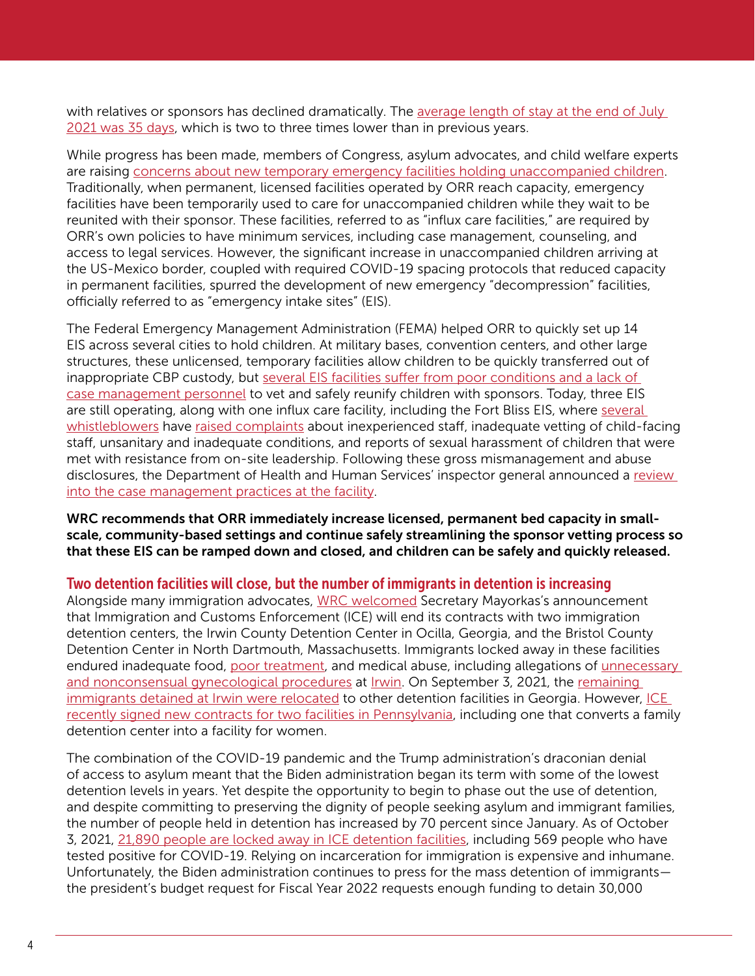with relatives or sponsors has declined dramatically. The average length of stay at the end of July [2021 was 35 days,](https://www.hhs.gov/sites/default/files/uac-program-fact-sheet.pdf) which is two to three times lower than in previous years.

While progress has been made, members of Congress, asylum advocates, and child welfare experts are raising [concerns about new temporary emergency facilities holding unaccompanied children.](https://thehill.com/blogs/congress-blog/politics/547603-children-belong-with-their-families-heres-how-we-can-get-there) Traditionally, when permanent, licensed facilities operated by ORR reach capacity, emergency facilities have been temporarily used to care for unaccompanied children while they wait to be reunited with their sponsor. These facilities, referred to as "influx care facilities," are required by ORR's own policies to have minimum services, including case management, counseling, and access to legal services. However, the significant increase in unaccompanied children arriving at the US-Mexico border, coupled with required COVID-19 spacing protocols that reduced capacity in permanent facilities, spurred the development of new emergency "decompression" facilities, officially referred to as "emergency intake sites" (EIS).

The Federal Emergency Management Administration (FEMA) helped ORR to quickly set up 14 EIS across several cities to hold children. At military bases, convention centers, and other large structures, these unlicensed, temporary facilities allow children to be quickly transferred out of inappropriate CBP custody, but several EIS facilities suffer from poor conditions and a lack of [case management personnel](https://www.cbsnews.com/news/immigration-border-migrant-children-poor-conditions-shelters/) to vet and safely reunify children with sponsors. Today, three EIS are still operating, along with one influx care facility, including the Fort Bliss EIS, where [several](https://nam12.safelinks.protection.outlook.com/?url=https%3A%2F%2Fwhistleblower.org%2Fwp-content%2Fuploads%2F2021%2F07%2F072821-2nd-Fort-Bliss-Whistleblower-Disclosure-FINAL.pdf&data=04%7C01%7C%7Cac32c8843cdf4e2ca87a08d951e3a159%7Ca11de13374864b67a0480a11db0ab49f%7C0%7C0%7C637630860407943580%7CUnknown%7CTWFpbGZsb3d8eyJWIjoiMC4wLjAwMDAiLCJQIjoiV2luMzIiLCJBTiI6Ik1haWwiLCJXVCI6Mn0%3D%7C1000&sdata=BipnS46d2%2Bd2%2FXdIdNRFI0m3rBVUTrEeG9IXLj2Z6wU%3D&reserved=0)  [whistleblowers](https://nam12.safelinks.protection.outlook.com/?url=https%3A%2F%2Fwhistleblower.org%2Fwp-content%2Fuploads%2F2021%2F07%2F072821-2nd-Fort-Bliss-Whistleblower-Disclosure-FINAL.pdf&data=04%7C01%7C%7Cac32c8843cdf4e2ca87a08d951e3a159%7Ca11de13374864b67a0480a11db0ab49f%7C0%7C0%7C637630860407943580%7CUnknown%7CTWFpbGZsb3d8eyJWIjoiMC4wLjAwMDAiLCJQIjoiV2luMzIiLCJBTiI6Ik1haWwiLCJXVCI6Mn0%3D%7C1000&sdata=BipnS46d2%2Bd2%2FXdIdNRFI0m3rBVUTrEeG9IXLj2Z6wU%3D&reserved=0) have [raised complaints](https://nam12.safelinks.protection.outlook.com/?url=https%3A%2F%2Fwhistleblower.org%2Fpress-release%2Fpress-release-whistleblowers-complaints-of-gross-mismanagement-at-fort-bliss-immigrant-childrens-site-ignored%2F&data=04%7C01%7C%7C74263fe878e749c47aae08d94153b762%7Ca11de13374864b67a0480a11db0ab49f%7C0%7C0%7C637612650083474315%7CUnknown%7CTWFpbGZsb3d8eyJWIjoiMC4wLjAwMDAiLCJQIjoiV2luMzIiLCJBTiI6Ik1haWwiLCJXVCI6Mn0%3D%7C1000&sdata=Z2j54csOGfnS2U0PJpvr3kW9i5iTfjUD6z7CBQgsdSs%3D&reserved=0) about inexperienced staff, inadequate vetting of child-facing staff, unsanitary and inadequate conditions, and reports of sexual harassment of children that were met with resistance from on-site leadership. Following these gross mismanagement and abuse disclosures, the Department of Health and Human Services' inspector general announced a [review](https://oig.hhs.gov/reports-and-publications/workplan/summary/wp-summary-0000607.asp)  [into the case management practices at the facility](https://oig.hhs.gov/reports-and-publications/workplan/summary/wp-summary-0000607.asp).

WRC recommends that ORR immediately increase licensed, permanent bed capacity in smallscale, community-based settings and continue safely streamlining the sponsor vetting process so that these EIS can be ramped down and closed, and children can be safely and quickly released.

#### Two detention facilities will close, but the number of immigrants in detention is increasing

Alongside many immigration advocates, [WRC welcomed](https://www.womensrefugeecommission.org/press-releases/wrc-responds-to-dhs-decision-to-close-two-immigration-detention-centers/) Secretary Mayorkas's announcement that Immigration and Customs Enforcement (ICE) will end its contracts with two immigration detention centers, the Irwin County Detention Center in Ocilla, Georgia, and the Bristol County Detention Center in North Dartmouth, Massachusetts. Immigrants locked away in these facilities endured inadequate food, [poor treatment](https://www.mass.gov/news/ag-healey-finds-civil-rights-of-immigration-detainees-were-violated-in-bristol-county-jail), and medical abuse, including allegations of [unnecessary](https://projectsouth.org/wp-content/uploads/2020/09/OIG-ICDC-Complaint-1.pdf)  [and nonconsensual gynecological procedures](https://projectsouth.org/wp-content/uploads/2020/09/OIG-ICDC-Complaint-1.pdf) at [Irwin.](https://www.ice.gov/doclib/foia/odo-compliance-inspections/irwinCoDetCntr_OcillaGA_Mar3-5_2020.pdf) On September 3, 2021, the [remaining](https://www.ajc.com/news/all-ice-detainees-moved-out-of-south-georgia-jail/XJ6XIUTVBFCN3IALTUCUFUNBX4/)  [immigrants detained at Irwin were relocated](https://www.ajc.com/news/all-ice-detainees-moved-out-of-south-georgia-jail/XJ6XIUTVBFCN3IALTUCUFUNBX4/) to other detention facilities in Georgia. However, ICE [recently signed new contracts for two facilities in Pennsylvania](https://gantnews.com/2021/09/29/moshannon-valley-correctional-facility-to-reopen-as-ice-center/), including one that converts a family detention center into a facility for women.

The combination of the COVID-19 pandemic and the Trump administration's draconian denial of access to asylum meant that the Biden administration began its term with some of the lowest detention levels in years. Yet despite the opportunity to begin to phase out the use of detention, and despite committing to preserving the dignity of people seeking asylum and immigrant families, the number of people held in detention has increased by 70 percent since January. As of October 3, 2021, [21,890 people are locked away in ICE detention facilities](https://www.ice.gov/coronavirus), including 569 people who have tested positive for COVID-19. Relying on incarceration for immigration is expensive and inhumane. Unfortunately, the Biden administration continues to press for the mass detention of immigrants the president's budget request for Fiscal Year 2022 requests enough funding to detain 30,000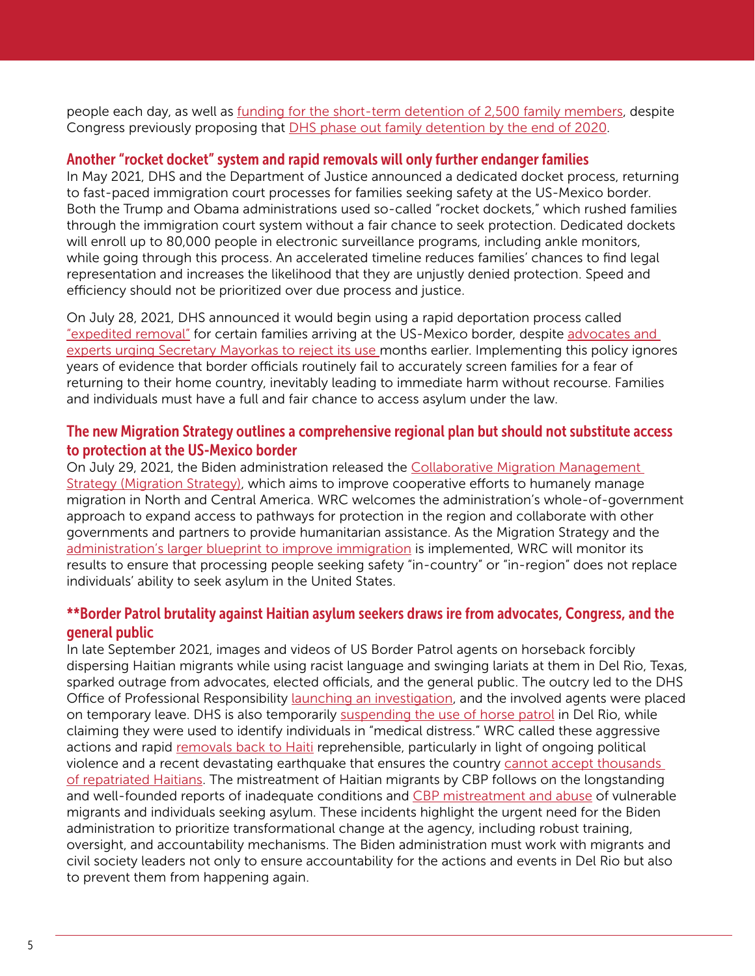people each day, as well as [funding for the short-term detention of 2,500 family members](https://www.dhs.gov/sites/default/files/publications/u.s._immigration_and_customs_enforcement.pdf), despite Congress previously proposing that [DHS phase out family detention by the end of 2020](https://www.congress.gov/116/crpt/hrpt458/CRPT-116hrpt458.pdf).

#### Another "rocket docket" system and rapid removals will only further endanger families

In May 2021, DHS and the Department of Justice announced a dedicated docket process, returning to fast-paced immigration court processes for families seeking safety at the US-Mexico border. Both the Trump and Obama administrations used so-called "rocket dockets," which rushed families through the immigration court system without a fair chance to seek protection. Dedicated dockets will enroll up to 80,000 people in electronic surveillance programs, including ankle monitors, while going through this process. An accelerated timeline reduces families' chances to find legal representation and increases the likelihood that they are unjustly denied protection. Speed and efficiency should not be prioritized over due process and justice.

On July 28, 2021, DHS announced it would begin using a rapid deportation process called ["expedited removal"](https://nam12.safelinks.protection.outlook.com/?url=https%3A%2F%2Fwww.dhs.gov%2Fnews%2F2021%2F07%2F26%2Fdhs-statement-resumption-expedited-removal-certain-family-units&data=04%7C01%7C%7C6ffc5ec64f3f4d542fd408d95b6fe315%7Ca11de13374864b67a0480a11db0ab49f%7C0%7C0%7C637641358376516036%7CUnknown%7CTWFpbGZsb3d8eyJWIjoiMC4wLjAwMDAiLCJQIjoiV2luMzIiLCJBTiI6Ik1haWwiLCJXVCI6Mn0%3D%7C1000&sdata=L5AZNa0PdDu%2Bd4Yu1Ozwlf%2BQ0Jep03c6z7Mku87UbnM%3D&reserved=0) for certain families arriving at the US-Mexico border, despite [advocates and](https://nam12.safelinks.protection.outlook.com/?url=https%3A%2F%2Fwww.humanrightsfirst.org%2Fresource%2Fngo-letter-urging-dhs-reject-use-expedited-removal&data=04%7C01%7C%7C6ffc5ec64f3f4d542fd408d95b6fe315%7Ca11de13374864b67a0480a11db0ab49f%7C0%7C0%7C637641358376526032%7CUnknown%7CTWFpbGZsb3d8eyJWIjoiMC4wLjAwMDAiLCJQIjoiV2luMzIiLCJBTiI6Ik1haWwiLCJXVCI6Mn0%3D%7C1000&sdata=PRSgjpp9abwKujBw%2BJmK35HfHNZvsQ9m9wjjw8e1V4o%3D&reserved=0)  [experts urging Secretary Mayorkas to reject its use m](https://nam12.safelinks.protection.outlook.com/?url=https%3A%2F%2Fwww.humanrightsfirst.org%2Fresource%2Fngo-letter-urging-dhs-reject-use-expedited-removal&data=04%7C01%7C%7C6ffc5ec64f3f4d542fd408d95b6fe315%7Ca11de13374864b67a0480a11db0ab49f%7C0%7C0%7C637641358376526032%7CUnknown%7CTWFpbGZsb3d8eyJWIjoiMC4wLjAwMDAiLCJQIjoiV2luMzIiLCJBTiI6Ik1haWwiLCJXVCI6Mn0%3D%7C1000&sdata=PRSgjpp9abwKujBw%2BJmK35HfHNZvsQ9m9wjjw8e1V4o%3D&reserved=0)onths earlier. Implementing this policy ignores years of evidence that border officials routinely fail to accurately screen families for a fear of returning to their home country, inevitably leading to immediate harm without recourse. Families and individuals must have a full and fair chance to access asylum under the law.

#### The new Migration Strategy outlines a comprehensive regional plan but should not substitute access to protection at the US-Mexico border

On July 29, 2021, the Biden administration released the Collaborative Migration Management [Strategy \(Migration Strategy\),](https://nam12.safelinks.protection.outlook.com/?url=https%3A%2F%2Fwww.whitehouse.gov%2Fwp-content%2Fuploads%2F2021%2F07%2FCollaborative-Migration-Management-Strategy.pdf&data=04%7C01%7C%7C6ffc5ec64f3f4d542fd408d95b6fe315%7Ca11de13374864b67a0480a11db0ab49f%7C0%7C0%7C637641358376536025%7CUnknown%7CTWFpbGZsb3d8eyJWIjoiMC4wLjAwMDAiLCJQIjoiV2luMzIiLCJBTiI6Ik1haWwiLCJXVCI6Mn0%3D%7C1000&sdata=JBEVlSszbJcOz%2FhGIQzVONJpujMKL2Hi7xEUjdo3QN8%3D&reserved=0) which aims to improve cooperative efforts to humanely manage migration in North and Central America. WRC welcomes the administration's whole-of-government approach to expand access to pathways for protection in the region and collaborate with other governments and partners to provide humanitarian assistance. As the Migration Strategy and the [administration's larger blueprint to improve immigration](https://nam12.safelinks.protection.outlook.com/?url=https%3A%2F%2Fwww.whitehouse.gov%2Fbriefing-room%2Fstatements-releases%2F2021%2F07%2F27%2Ffact-sheet-the-biden-administration-blueprint-for-a-fair-orderly-and-humane-immigration-system%2F&data=04%7C01%7C%7C6ffc5ec64f3f4d542fd408d95b6fe315%7Ca11de13374864b67a0480a11db0ab49f%7C0%7C0%7C637641358376546019%7CUnknown%7CTWFpbGZsb3d8eyJWIjoiMC4wLjAwMDAiLCJQIjoiV2luMzIiLCJBTiI6Ik1haWwiLCJXVCI6Mn0%3D%7C1000&sdata=7SOOB7%2Fb39Upy6CaiXHioF4FXLyGbyAMAkxXERkQYGU%3D&reserved=0) is implemented, WRC will monitor its results to ensure that processing people seeking safety "in-country" or "in-region" does not replace individuals' ability to seek asylum in the United States.

## \*\*Border Patrol brutality against Haitian asylum seekers draws ire from advocates, Congress, and the general public

In late September 2021, images and videos of US Border Patrol agents on horseback forcibly dispersing Haitian migrants while using racist language and swinging lariats at them in Del Rio, Texas, sparked outrage from advocates, elected officials, and the general public. The outcry led to the DHS Office of Professional Responsibility [launching an investigation](https://www.cbsnews.com/news/immigration-border-patrol-agents-horseback-haitians/), and the involved agents were placed on temporary leave. DHS is also temporarily [suspending the use of horse patrol](https://www.cnn.com/2021/09/23/politics/department-of-homeland-security-del-rio-horse-patrol/index.html) in Del Rio, while claiming they were used to identify individuals in "medical distress." WRC called these aggressive actions and rapid [removals back to Haiti](https://wrc.ms/haitians-mistreatment-statement) reprehensible, particularly in light of ongoing political violence and a recent devastating earthquake that ensures the country [cannot accept thousands](https://www.miamiherald.com/news/nation-world/world/americas/haiti/article254366048.html)  [of repatriated Haitians](https://www.miamiherald.com/news/nation-world/world/americas/haiti/article254366048.html). The mistreatment of Haitian migrants by CBP follows on the longstanding and well-founded reports of inadequate conditions and [CBP mistreatment and abuse](https://www.aclu.org/issues/immigrants-rights/ice-and-border-patrol-abuses) of vulnerable migrants and individuals seeking asylum. These incidents highlight the urgent need for the Biden administration to prioritize transformational change at the agency, including robust training, oversight, and accountability mechanisms. The Biden administration must work with migrants and civil society leaders not only to ensure accountability for the actions and events in Del Rio but also to prevent them from happening again.